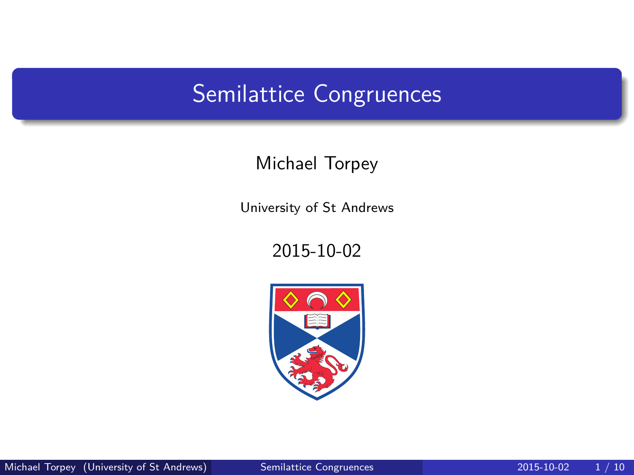## <span id="page-0-0"></span>Semilattice Congruences

#### Michael Torpey

University of St Andrews

2015-10-02

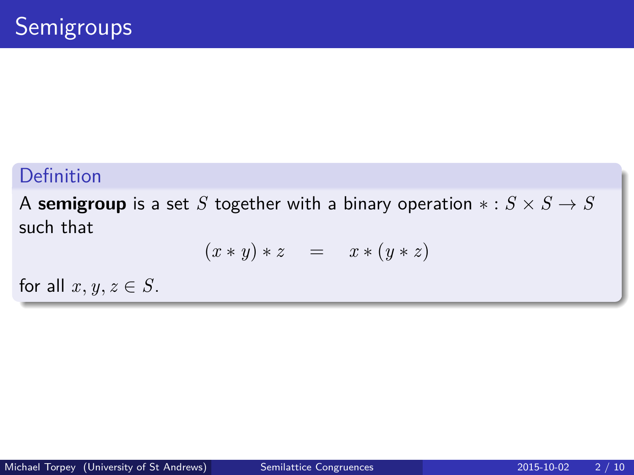#### Definition

A **semigroup** is a set *S* together with a binary operation  $* : S \times S \rightarrow S$ such that

$$
(x * y) * z = x * (y * z)
$$

for all  $x, y, z \in S$ .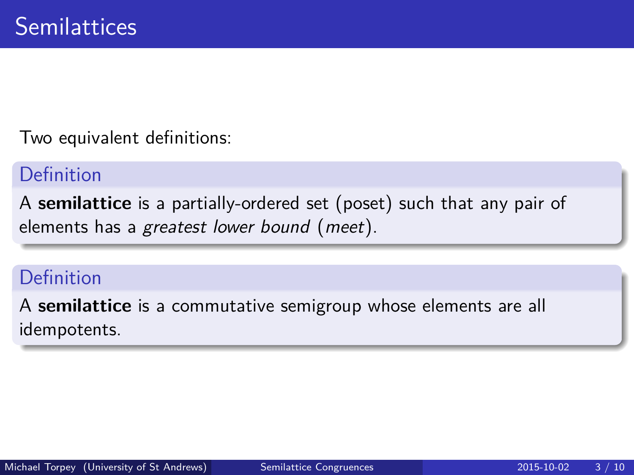Two equivalent definitions:

#### Definition

A **semilattice** is a partially-ordered set (poset) such that any pair of elements has a greatest lower bound (meet).

### Definition

A **semilattice** is a commutative semigroup whose elements are all idempotents.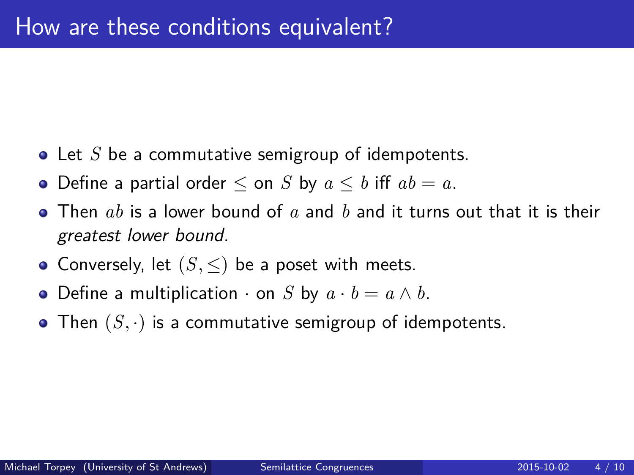- Let S be a commutative semigroup of idempotents.
- Define a partial order  $\leq$  on *S* by  $a \leq b$  iff  $ab = a$ .
- Then *ab* is a lower bound of *a* and *b* and it turns out that it is their greatest lower bound.
- Conversely, let  $(S, \leq)$  be a poset with meets.
- Define a multiplication  $\cdot$  on *S* by  $a \cdot b = a \wedge b$ .
- Then  $(S, \cdot)$  is a commutative semigroup of idempotents.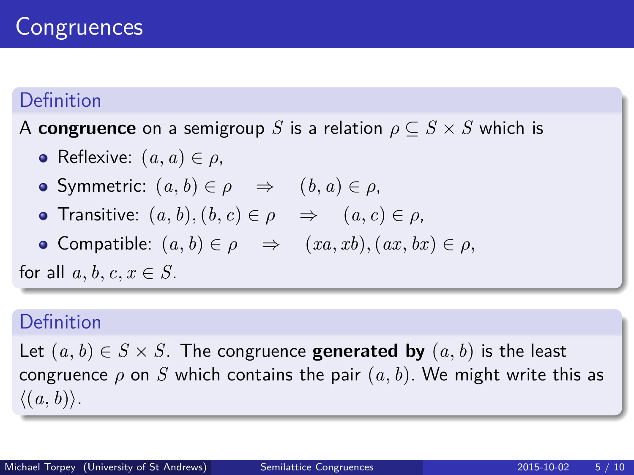# **Congruences**

#### Definition

A **congruence** on a semigroup *S* is a relation  $\rho \subseteq S \times S$  which is

- Reflexive:  $(a, a) \in \rho$ ,
- $\bullet$  Symmetric:  $(a, b) \in \rho$  ⇒  $(b, a) \in \rho$ ,
- **o** Transitive:  $(a, b), (b, c) \in \rho \Rightarrow (a, c) \in \rho$ ,
- $\bullet$  Compatible:  $(a, b) \in \rho$   $\Rightarrow$   $(xa, xb)$ *,*  $(ax, bx) \in \rho$ *,*

for all  $a, b, c, x \in S$ .

#### Definition

Let  $(a, b) \in S \times S$ . The congruence **generated by**  $(a, b)$  is the least congruence  $\rho$  on  $S$  which contains the pair  $(a, b)$ . We might write this as  $\langle (a, b) \rangle$ .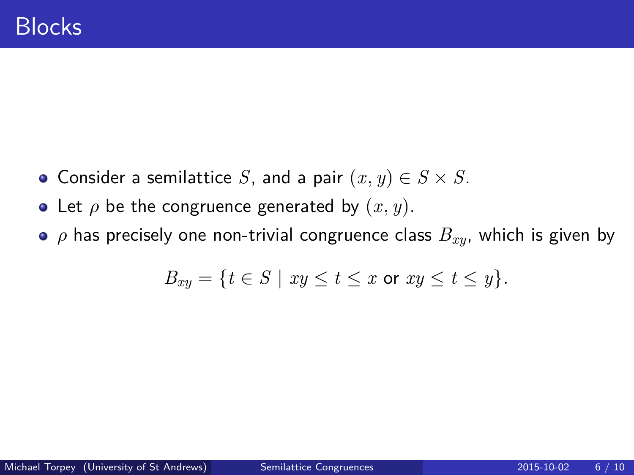- Consider a semilattice *S*, and a pair  $(x, y) \in S \times S$ .
- Let  $\rho$  be the congruence generated by  $(x, y)$ .
- *ρ* has precisely one non-trivial congruence class  $B_{xx}$ , which is given by

$$
B_{xy} = \{t \in S \mid xy \leq t \leq x \text{ or } xy \leq t \leq y\}.
$$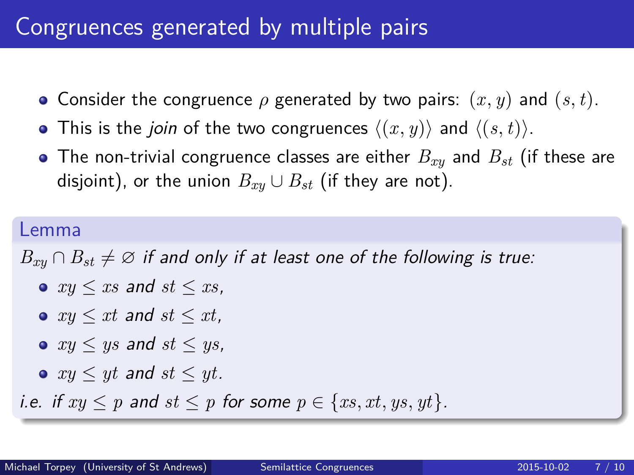## Congruences generated by multiple pairs

- Consider the congruence *ρ* generated by two pairs: (*x, y*) and (*s, t*).
- This is the *join* of the two congruences  $\langle (x, y) \rangle$  and  $\langle (s, t) \rangle$ .
- The non-trivial congruence classes are either *Bxy* and *Bst* (if these are disjoint), or the union  $B_{xy} \cup B_{st}$  (if they are not).

#### Lemma

 $B_{xx} \cap B_{st} \neq \emptyset$  if and only if at least one of the following is true:

- $\bullet$   $xy \leq xs$  and  $st \leq xs$ ,
- $\bullet$   $x\prime < xt$  and  $st < xt$ ,
- $xy \leq ys$  and  $st \leq ys$ ,
- $\bullet$  *xy*  $\leq$  *yt* and *st*  $\leq$  *yt*.

*i.e.* if  $xy \leq p$  and  $st \leq p$  for some  $p \in \{xs, xt, ys, yt\}$ .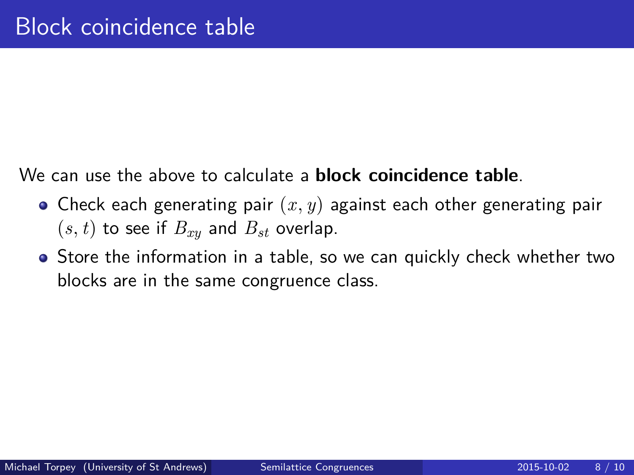We can use the above to calculate a **block coincidence table**.

- Check each generating pair (*x, y*) against each other generating pair  $(s, t)$  to see if  $B_{xy}$  and  $B_{st}$  overlap.
- Store the information in a table, so we can quickly check whether two blocks are in the same congruence class.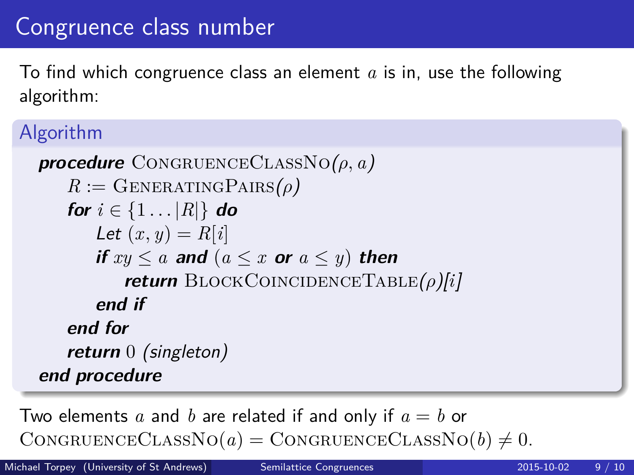# Congruence class number

To find which congruence class an element *a* is in, use the following algorithm:

## Algorithm

```
\boldsymbol{procedure} CONGRUENCECLASSNO(\rho, a)R := \text{GENERALINGPAIRS}(\rho)for i \in \{1 \dots |R|\} do
       Let (x, y) = R[i]if xy \leq a and (a \leq x or a \leq y) then
           return BlockCoincidenceTable(ρ)[i]
       end if
   end for
   return 0 (singleton)
end procedure
```
Two elements *a* and *b* are related if and only if *a* = *b* or  $\text{CONGRUENCECLASSNo}(a) = \text{CONGRUENCECLASSNo}(b) \neq 0.$ 

Michael Torpey (University of St Andrews) [Semilattice Congruences](#page-0-0) 2015-10-02 9 / 10